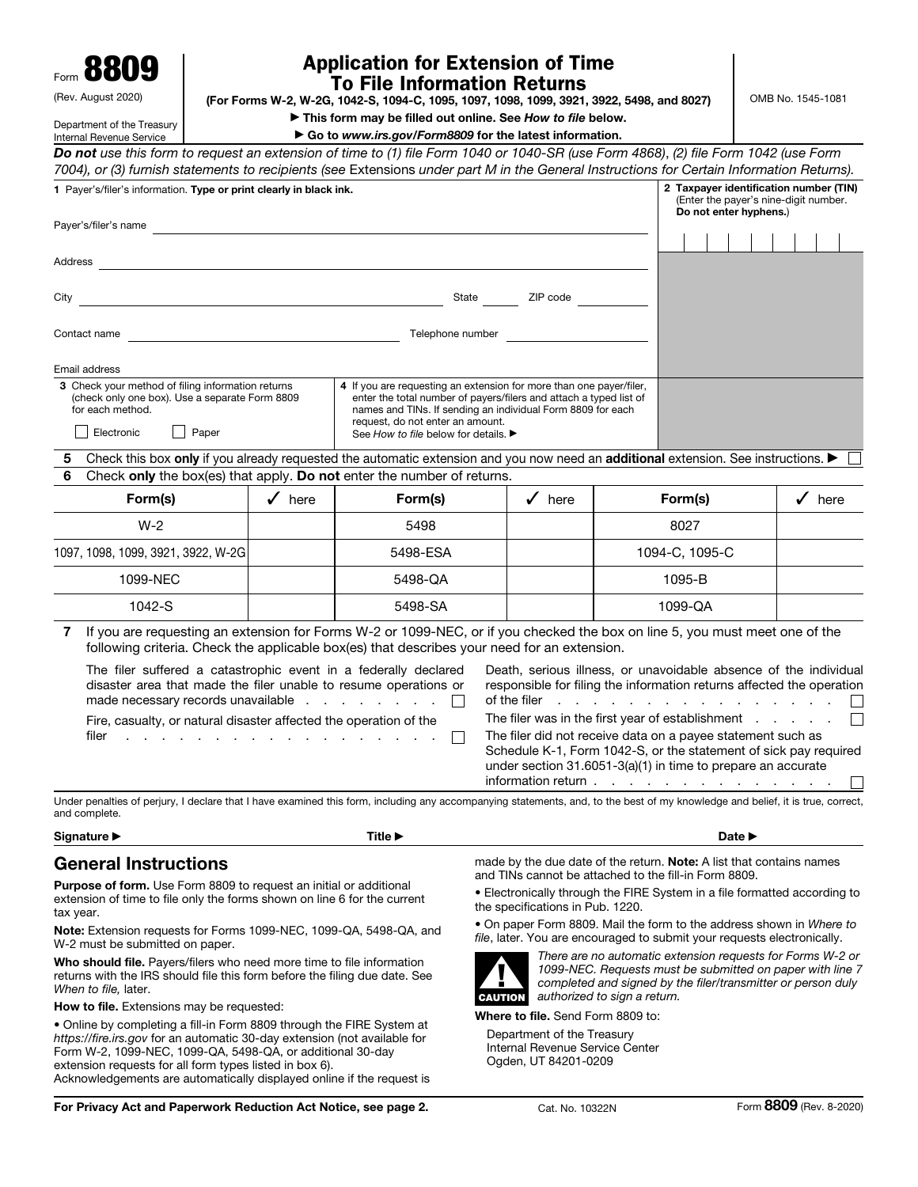Form 8809

Department of the Treasury

## (Rev. August 2020)

## Application for Extension of Time To File Information Returns

(For Forms W-2, W-2G, 1042-S, 1094-C, 1095, 1097, 1098, 1099, 3921, 3922, 5498, and 8027)

OMB No. 1545-1081

▶ This form may be filled out online. See *How to file* below.

| Internal Revenue Service                                                                                                                                                                        |                                                                                 | Go to www.irs.gov/Form8809 for the latest information.                                                                                                                                                                     |                                                                                                                                                 |                          |                                                                                                                                                            |                   |  |  |  |  |
|-------------------------------------------------------------------------------------------------------------------------------------------------------------------------------------------------|---------------------------------------------------------------------------------|----------------------------------------------------------------------------------------------------------------------------------------------------------------------------------------------------------------------------|-------------------------------------------------------------------------------------------------------------------------------------------------|--------------------------|------------------------------------------------------------------------------------------------------------------------------------------------------------|-------------------|--|--|--|--|
| Do not use this form to request an extension of time to (1) file Form 1040 or 1040-SR (use Form 4868), (2) file Form 1042 (use Form                                                             |                                                                                 |                                                                                                                                                                                                                            |                                                                                                                                                 |                          |                                                                                                                                                            |                   |  |  |  |  |
| 7004), or (3) furnish statements to recipients (see Extensions under part M in the General Instructions for Certain Information Returns).                                                       |                                                                                 |                                                                                                                                                                                                                            |                                                                                                                                                 |                          |                                                                                                                                                            |                   |  |  |  |  |
| 1 Payer's/filer's information. Type or print clearly in black ink.                                                                                                                              | 2 Taxpayer identification number (TIN)<br>(Enter the payer's nine-digit number. |                                                                                                                                                                                                                            |                                                                                                                                                 |                          |                                                                                                                                                            |                   |  |  |  |  |
| Payer's/filer's name                                                                                                                                                                            |                                                                                 |                                                                                                                                                                                                                            |                                                                                                                                                 |                          | Do not enter hyphens.)                                                                                                                                     |                   |  |  |  |  |
|                                                                                                                                                                                                 |                                                                                 |                                                                                                                                                                                                                            |                                                                                                                                                 |                          |                                                                                                                                                            |                   |  |  |  |  |
| Address                                                                                                                                                                                         |                                                                                 |                                                                                                                                                                                                                            |                                                                                                                                                 |                          |                                                                                                                                                            |                   |  |  |  |  |
| City                                                                                                                                                                                            | <u> 1989 - Johann Barbara, martxa alemaniar a</u>                               | State                                                                                                                                                                                                                      | ZIP code                                                                                                                                        |                          |                                                                                                                                                            |                   |  |  |  |  |
|                                                                                                                                                                                                 |                                                                                 |                                                                                                                                                                                                                            |                                                                                                                                                 |                          |                                                                                                                                                            |                   |  |  |  |  |
| Contact name                                                                                                                                                                                    |                                                                                 | Telephone number                                                                                                                                                                                                           |                                                                                                                                                 |                          |                                                                                                                                                            |                   |  |  |  |  |
|                                                                                                                                                                                                 |                                                                                 |                                                                                                                                                                                                                            |                                                                                                                                                 |                          |                                                                                                                                                            |                   |  |  |  |  |
| Email address<br>3 Check your method of filing information returns                                                                                                                              |                                                                                 | 4 If you are requesting an extension for more than one payer/filer,                                                                                                                                                        |                                                                                                                                                 |                          |                                                                                                                                                            |                   |  |  |  |  |
| (check only one box). Use a separate Form 8809<br>for each method.                                                                                                                              |                                                                                 | enter the total number of payers/filers and attach a typed list of<br>names and TINs. If sending an individual Form 8809 for each                                                                                          |                                                                                                                                                 |                          |                                                                                                                                                            |                   |  |  |  |  |
| Electronic<br>Paper                                                                                                                                                                             |                                                                                 | request, do not enter an amount.<br>See How to file below for details. ▶                                                                                                                                                   |                                                                                                                                                 |                          |                                                                                                                                                            |                   |  |  |  |  |
| 5                                                                                                                                                                                               |                                                                                 |                                                                                                                                                                                                                            |                                                                                                                                                 |                          |                                                                                                                                                            |                   |  |  |  |  |
| 6                                                                                                                                                                                               |                                                                                 | Check this box only if you already requested the automatic extension and you now need an additional extension. See instructions. ▶<br>Check only the box(es) that apply. Do not enter the number of returns.               |                                                                                                                                                 |                          |                                                                                                                                                            |                   |  |  |  |  |
| Form(s)                                                                                                                                                                                         | $\sqrt{\phantom{1}}$ here                                                       | Form(s)                                                                                                                                                                                                                    | $\sqrt{\phantom{1}}$ here                                                                                                                       |                          | Form(s)                                                                                                                                                    | $\checkmark$ here |  |  |  |  |
| $W-2$                                                                                                                                                                                           |                                                                                 | 5498                                                                                                                                                                                                                       |                                                                                                                                                 |                          | 8027                                                                                                                                                       |                   |  |  |  |  |
| 1097, 1098, 1099, 3921, 3922, W-2G                                                                                                                                                              |                                                                                 | 5498-ESA                                                                                                                                                                                                                   |                                                                                                                                                 | 1094-C, 1095-C           |                                                                                                                                                            |                   |  |  |  |  |
| 1099-NEC                                                                                                                                                                                        |                                                                                 | 5498-QA                                                                                                                                                                                                                    |                                                                                                                                                 |                          | 1095-B                                                                                                                                                     |                   |  |  |  |  |
| 1042-S                                                                                                                                                                                          |                                                                                 | 5498-SA                                                                                                                                                                                                                    |                                                                                                                                                 |                          | 1099-QA                                                                                                                                                    |                   |  |  |  |  |
| 7                                                                                                                                                                                               |                                                                                 | If you are requesting an extension for Forms W-2 or 1099-NEC, or if you checked the box on line 5, you must meet one of the<br>following criteria. Check the applicable box(es) that describes your need for an extension. |                                                                                                                                                 |                          |                                                                                                                                                            |                   |  |  |  |  |
| The filer suffered a catastrophic event in a federally declared<br>disaster area that made the filer unable to resume operations or<br>made necessary records unavailable                       |                                                                                 |                                                                                                                                                                                                                            | of the filer                                                                                                                                    | and a state of the state | Death, serious illness, or unavoidable absence of the individual<br>responsible for filing the information returns affected the operation<br>$\sim$ $\sim$ |                   |  |  |  |  |
| Fire, casualty, or natural disaster affected the operation of the                                                                                                                               |                                                                                 |                                                                                                                                                                                                                            |                                                                                                                                                 |                          | The filer was in the first year of establishment                                                                                                           |                   |  |  |  |  |
| filer                                                                                                                                                                                           |                                                                                 |                                                                                                                                                                                                                            |                                                                                                                                                 |                          | The filer did not receive data on a payee statement such as<br>Schedule K-1, Form 1042-S, or the statement of sick pay required                            |                   |  |  |  |  |
|                                                                                                                                                                                                 |                                                                                 |                                                                                                                                                                                                                            |                                                                                                                                                 |                          | under section 31.6051-3(a)(1) in time to prepare an accurate                                                                                               |                   |  |  |  |  |
|                                                                                                                                                                                                 |                                                                                 |                                                                                                                                                                                                                            |                                                                                                                                                 |                          | information return                                                                                                                                         |                   |  |  |  |  |
| Under penalties of perjury, I declare that I have examined this form, including any accompanying statements, and, to the best of my knowledge and belief, it is true, correct,<br>and complete. |                                                                                 |                                                                                                                                                                                                                            |                                                                                                                                                 |                          |                                                                                                                                                            |                   |  |  |  |  |
| Signature ▶                                                                                                                                                                                     |                                                                                 | Title ▶                                                                                                                                                                                                                    |                                                                                                                                                 |                          | Date ▶                                                                                                                                                     |                   |  |  |  |  |
| <b>General Instructions</b>                                                                                                                                                                     |                                                                                 |                                                                                                                                                                                                                            |                                                                                                                                                 |                          | made by the due date of the return. Note: A list that contains names                                                                                       |                   |  |  |  |  |
| <b>Purpose of form.</b> Use Form 8809 to request an initial or additional                                                                                                                       |                                                                                 |                                                                                                                                                                                                                            | and TINs cannot be attached to the fill-in Form 8809.<br>• Electronically through the FIRE System in a file formatted according to              |                          |                                                                                                                                                            |                   |  |  |  |  |
| extension of time to file only the forms shown on line 6 for the current<br>tax year.                                                                                                           |                                                                                 | the specifications in Pub. 1220.                                                                                                                                                                                           |                                                                                                                                                 |                          |                                                                                                                                                            |                   |  |  |  |  |
| Note: Extension requests for Forms 1099-NEC, 1099-QA, 5498-QA, and<br>W-2 must be submitted on paper.                                                                                           |                                                                                 |                                                                                                                                                                                                                            | • On paper Form 8809. Mail the form to the address shown in Where to<br>file, later. You are encouraged to submit your requests electronically. |                          |                                                                                                                                                            |                   |  |  |  |  |
| Who should file. Payers/filers who need more time to file information                                                                                                                           |                                                                                 |                                                                                                                                                                                                                            | There are no automatic extension requests for Forms W-2 or<br>1000 NEC. Boquesta must be submitted on peper with line 7                         |                          |                                                                                                                                                            |                   |  |  |  |  |

Who should file. Payers/filers who need more time to file information returns with the IRS should file this form before the filing due date. See *When to file,* later.

How to file. Extensions may be requested:

• Online by completing a fill-in Form 8809 through the FIRE System at *https://fire.irs.gov* for an automatic 30-day extension (not available for Form W-2, 1099-NEC, 1099-QA, 5498-QA, or additional 30-day extension requests for all form types listed in box 6). Acknowledgements are automatically displayed online if the request is



*1099-NEC. Requests must be submitted on paper with line 7 completed and signed by the filer/transmitter or person duly authorized to sign a return.*

Where to file. Send Form 8809 to:

Department of the Treasury Internal Revenue Service Center Ogden, UT 84201-0209